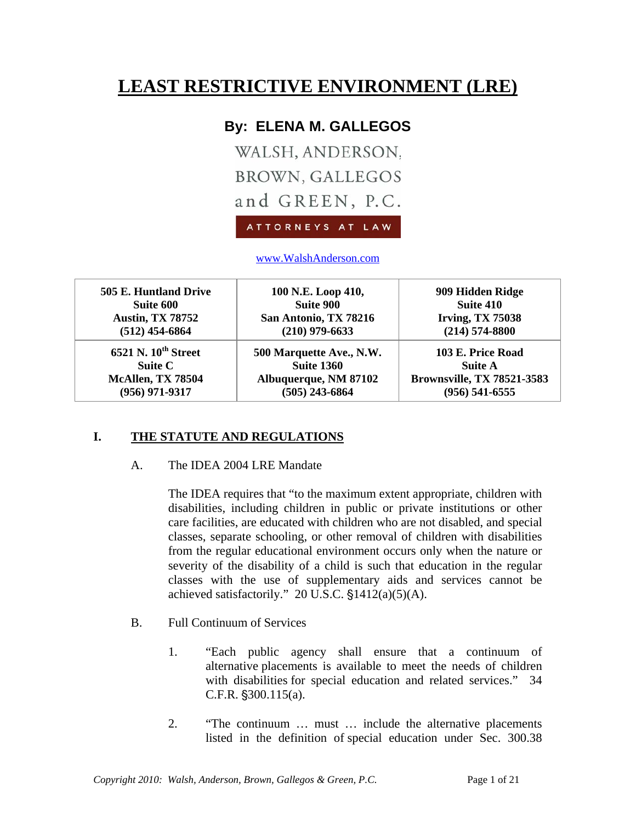# **LEAST RESTRICTIVE ENVIRONMENT (LRE)**

# **By: ELENA M. GALLEGOS**

WALSH, ANDERSON, **BROWN, GALLEGOS** and GREEN, P.C.

ATTORNEYS AT LAW

www.WalshAnderson.com

| 505 E. Huntland Drive           | 100 N.E. Loop 410,       | 909 Hidden Ridge                  |
|---------------------------------|--------------------------|-----------------------------------|
| Suite 600                       | <b>Suite 900</b>         | Suite 410                         |
| <b>Austin, TX 78752</b>         | San Antonio, TX 78216    | <b>Irving, TX 75038</b>           |
| $(512)$ 454-6864                | $(210)$ 979-6633         | $(214) 574 - 8800$                |
| 6521 N. 10 <sup>th</sup> Street | 500 Marquette Ave., N.W. | 103 E. Price Road                 |
| Suite C                         | <b>Suite 1360</b>        | <b>Suite A</b>                    |
| McAllen, TX 78504               | Albuquerque, NM 87102    | <b>Brownsville, TX 78521-3583</b> |
| $(956)$ 971-9317                | $(505)$ 243-6864         | $(956) 541 - 6555$                |

# **I. THE STATUTE AND REGULATIONS**

A. The IDEA 2004 LRE Mandate

The IDEA requires that "to the maximum extent appropriate, children with disabilities, including children in public or private institutions or other care facilities, are educated with children who are not disabled, and special classes, separate schooling, or other removal of children with disabilities from the regular educational environment occurs only when the nature or severity of the disability of a child is such that education in the regular classes with the use of supplementary aids and services cannot be achieved satisfactorily." 20 U.S.C.  $$1412(a)(5)(A)$ .

- B. Full Continuum of Services
	- 1. "Each public agency shall ensure that a continuum of alternative placements is available to meet the needs of children with disabilities for special education and related services." 34  $C.F.R.$  \\$300.115(a).
	- 2. "The continuum … must … include the alternative placements listed in the definition of special education under Sec. 300.38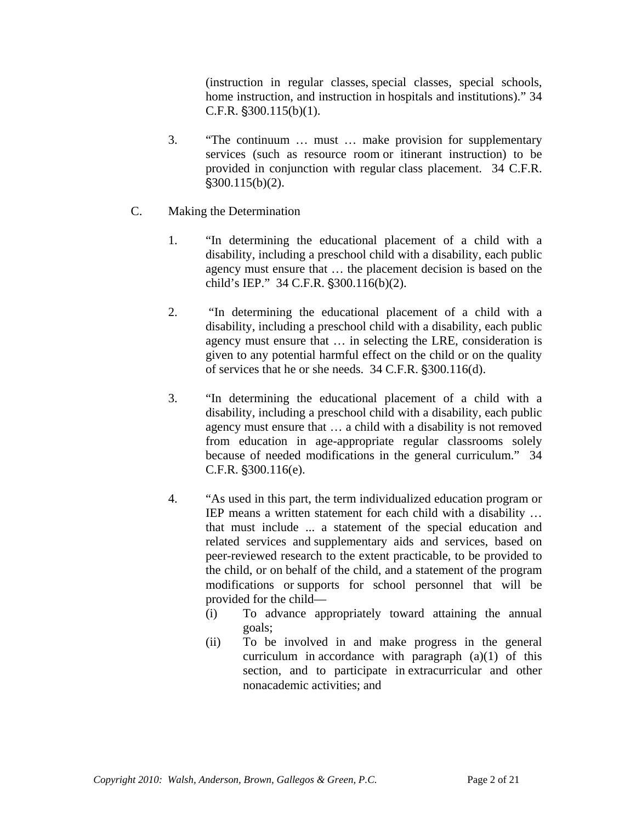(instruction in regular classes, special classes, special schools, home instruction, and instruction in hospitals and institutions)." 34  $C.F.R.$   $§300.115(b)(1)$ .

- 3. "The continuum … must … make provision for supplementary services (such as resource room or itinerant instruction) to be provided in conjunction with regular class placement. 34 C.F.R.  $$300.115(b)(2)$ .
- C. Making the Determination
	- 1. "In determining the educational placement of a child with a disability, including a preschool child with a disability, each public agency must ensure that … the placement decision is based on the child's IEP." 34 C.F.R. §300.116(b)(2).
	- 2. "In determining the educational placement of a child with a disability, including a preschool child with a disability, each public agency must ensure that … in selecting the LRE, consideration is given to any potential harmful effect on the child or on the quality of services that he or she needs.  $34$  C.F.R.  $\S 300.116(d)$ .
	- 3. "In determining the educational placement of a child with a disability, including a preschool child with a disability, each public agency must ensure that … a child with a disability is not removed from education in age-appropriate regular classrooms solely because of needed modifications in the general curriculum." 34  $C.F.R.$   $$300.116(e).$
	- 4. "As used in this part, the term individualized education program or IEP means a written statement for each child with a disability … that must include ... a statement of the special education and related services and supplementary aids and services, based on peer-reviewed research to the extent practicable, to be provided to the child, or on behalf of the child, and a statement of the program modifications or supports for school personnel that will be provided for the child—
		- (i) To advance appropriately toward attaining the annual goals;
		- (ii) To be involved in and make progress in the general curriculum in accordance with paragraph (a)(1) of this section, and to participate in extracurricular and other nonacademic activities; and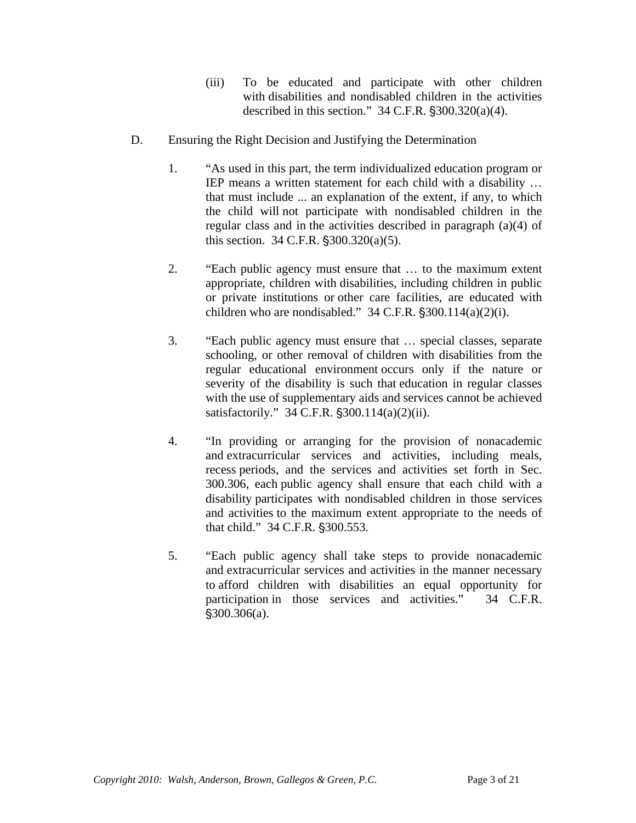- (iii) To be educated and participate with other children with disabilities and nondisabled children in the activities described in this section."  $34$  C.F.R.  $\S 300.320(a)(4)$ .
- D. Ensuring the Right Decision and Justifying the Determination
	- 1. "As used in this part, the term individualized education program or IEP means a written statement for each child with a disability … that must include ... an explanation of the extent, if any, to which the child will not participate with nondisabled children in the regular class and in the activities described in paragraph (a)(4) of this section.  $34$  C.F.R.  $\S 300.320(a)(5)$ .
	- 2. "Each public agency must ensure that … to the maximum extent appropriate, children with disabilities, including children in public or private institutions or other care facilities, are educated with children who are nondisabled."  $34$  C.F.R.  $\S 300.114(a)(2)(i)$ .
	- 3. "Each public agency must ensure that … special classes, separate schooling, or other removal of children with disabilities from the regular educational environment occurs only if the nature or severity of the disability is such that education in regular classes with the use of supplementary aids and services cannot be achieved satisfactorily." 34 C.F.R.  $$300.114(a)(2)(ii)$ .
	- 4. "In providing or arranging for the provision of nonacademic and extracurricular services and activities, including meals, recess periods, and the services and activities set forth in Sec. 300.306, each public agency shall ensure that each child with a disability participates with nondisabled children in those services and activities to the maximum extent appropriate to the needs of that child." 34 C.F.R. §300.553.
	- 5. "Each public agency shall take steps to provide nonacademic and extracurricular services and activities in the manner necessary to afford children with disabilities an equal opportunity for participation in those services and activities." 34 C.F.R.  $$300.306(a).$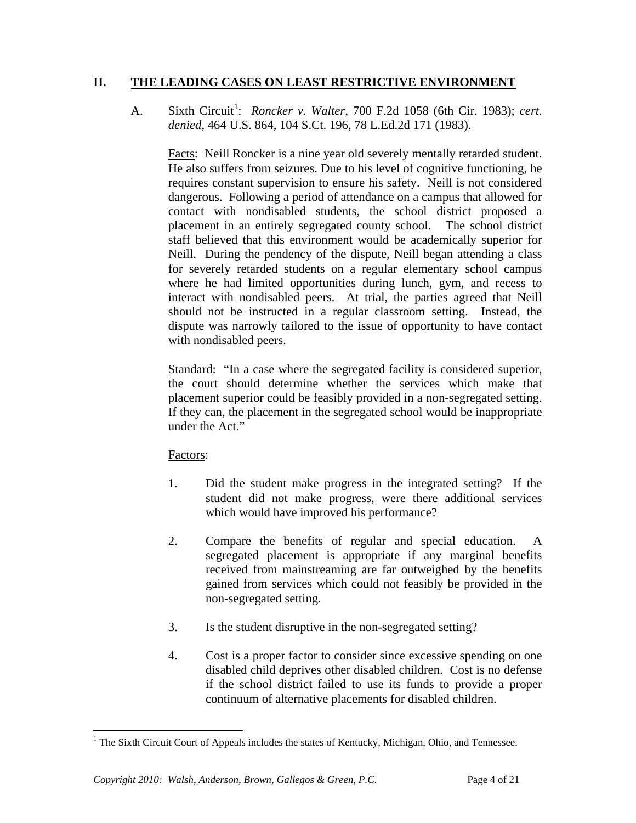## **II. THE LEADING CASES ON LEAST RESTRICTIVE ENVIRONMENT**

A. Sixth Circuit<sup>1</sup>: *Roncker v. Walter*, 700 F.2d 1058 (6th Cir. 1983); *cert. denied,* 464 U.S. 864, 104 S.Ct. 196, 78 L.Ed.2d 171 (1983).

Facts: Neill Roncker is a nine year old severely mentally retarded student. He also suffers from seizures. Due to his level of cognitive functioning, he requires constant supervision to ensure his safety. Neill is not considered dangerous. Following a period of attendance on a campus that allowed for contact with nondisabled students, the school district proposed a placement in an entirely segregated county school. The school district staff believed that this environment would be academically superior for Neill. During the pendency of the dispute, Neill began attending a class for severely retarded students on a regular elementary school campus where he had limited opportunities during lunch, gym, and recess to interact with nondisabled peers. At trial, the parties agreed that Neill should not be instructed in a regular classroom setting. Instead, the dispute was narrowly tailored to the issue of opportunity to have contact with nondisabled peers.

Standard:"In a case where the segregated facility is considered superior, the court should determine whether the services which make that placement superior could be feasibly provided in a non-segregated setting. If they can, the placement in the segregated school would be inappropriate under the Act."

# Factors:

- 1. Did the student make progress in the integrated setting? If the student did not make progress, were there additional services which would have improved his performance?
- 2. Compare the benefits of regular and special education. A segregated placement is appropriate if any marginal benefits received from mainstreaming are far outweighed by the benefits gained from services which could not feasibly be provided in the non-segregated setting.
- 3. Is the student disruptive in the non-segregated setting?
- 4. Cost is a proper factor to consider since excessive spending on one disabled child deprives other disabled children. Cost is no defense if the school district failed to use its funds to provide a proper continuum of alternative placements for disabled children.

<sup>&</sup>lt;sup>1</sup> The Sixth Circuit Court of Appeals includes the states of Kentucky, Michigan, Ohio, and Tennessee.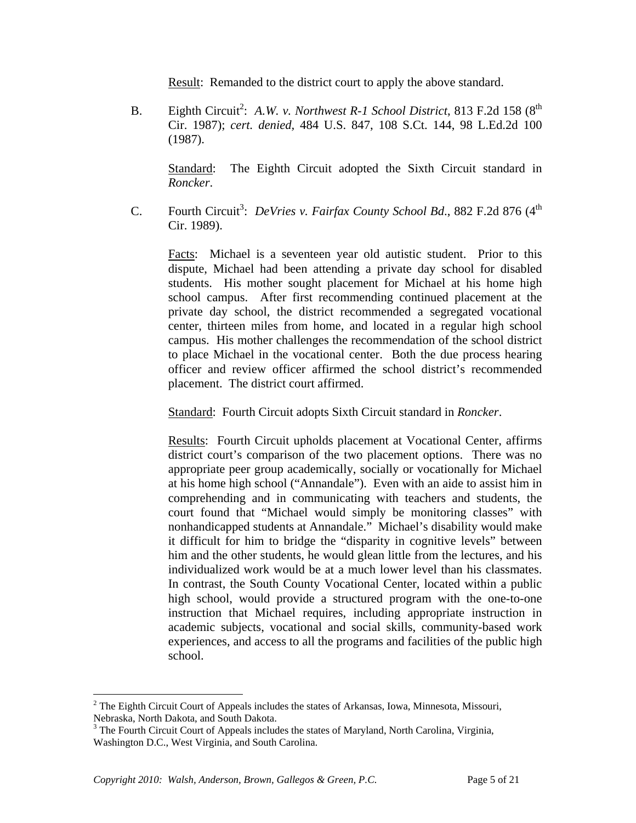Result: Remanded to the district court to apply the above standard.

B. Eighth Circuit<sup>2</sup>: A.W. v. Northwest R-1 School District, 813 F.2d 158 (8<sup>th</sup> Cir. 1987); *cert. denied,* 484 U.S. 847, 108 S.Ct. 144, 98 L.Ed.2d 100 (1987).

Standard:The Eighth Circuit adopted the Sixth Circuit standard in *Roncker*.

C. Fourth Circuit<sup>3</sup>: *DeVries v. Fairfax County School Bd.*, 882 F.2d 876 (4<sup>th</sup>) Cir. 1989).

Facts: Michael is a seventeen year old autistic student. Prior to this dispute, Michael had been attending a private day school for disabled students. His mother sought placement for Michael at his home high school campus. After first recommending continued placement at the private day school, the district recommended a segregated vocational center, thirteen miles from home, and located in a regular high school campus. His mother challenges the recommendation of the school district to place Michael in the vocational center. Both the due process hearing officer and review officer affirmed the school district's recommended placement. The district court affirmed.

Standard: Fourth Circuit adopts Sixth Circuit standard in *Roncker*.

Results: Fourth Circuit upholds placement at Vocational Center, affirms district court's comparison of the two placement options. There was no appropriate peer group academically, socially or vocationally for Michael at his home high school ("Annandale"). Even with an aide to assist him in comprehending and in communicating with teachers and students, the court found that "Michael would simply be monitoring classes" with nonhandicapped students at Annandale." Michael's disability would make it difficult for him to bridge the "disparity in cognitive levels" between him and the other students, he would glean little from the lectures, and his individualized work would be at a much lower level than his classmates. In contrast, the South County Vocational Center, located within a public high school, would provide a structured program with the one-to-one instruction that Michael requires, including appropriate instruction in academic subjects, vocational and social skills, community-based work experiences, and access to all the programs and facilities of the public high school.

 $2^2$  The Eighth Circuit Court of Appeals includes the states of Arkansas, Iowa, Minnesota, Missouri, Nebraska, North Dakota, and South Dakota.

<sup>&</sup>lt;sup>3</sup> The Fourth Circuit Court of Appeals includes the states of Maryland, North Carolina, Virginia, Washington D.C., West Virginia, and South Carolina.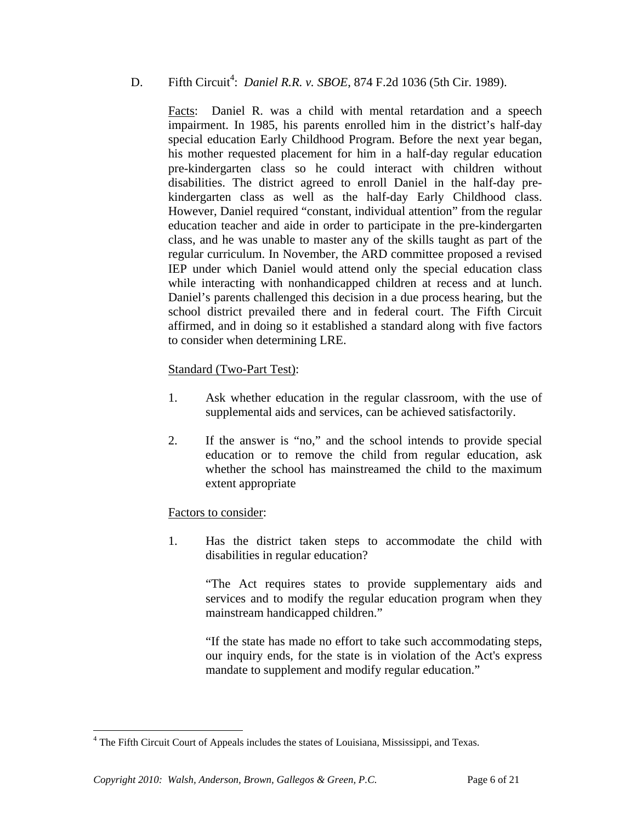# D. Fifth Circuit<sup>4</sup>: *Daniel R.R. v. SBOE*, 874 F.2d 1036 (5th Cir. 1989).

Facts: Daniel R. was a child with mental retardation and a speech impairment. In 1985, his parents enrolled him in the district's half-day special education Early Childhood Program. Before the next year began, his mother requested placement for him in a half-day regular education pre-kindergarten class so he could interact with children without disabilities. The district agreed to enroll Daniel in the half-day prekindergarten class as well as the half-day Early Childhood class. However, Daniel required "constant, individual attention" from the regular education teacher and aide in order to participate in the pre-kindergarten class, and he was unable to master any of the skills taught as part of the regular curriculum. In November, the ARD committee proposed a revised IEP under which Daniel would attend only the special education class while interacting with nonhandicapped children at recess and at lunch. Daniel's parents challenged this decision in a due process hearing, but the school district prevailed there and in federal court. The Fifth Circuit affirmed, and in doing so it established a standard along with five factors to consider when determining LRE.

### Standard (Two-Part Test):

- 1. Ask whether education in the regular classroom, with the use of supplemental aids and services, can be achieved satisfactorily.
- 2. If the answer is "no," and the school intends to provide special education or to remove the child from regular education, ask whether the school has mainstreamed the child to the maximum extent appropriate

# Factors to consider:

1. Has the district taken steps to accommodate the child with disabilities in regular education?

> "The Act requires states to provide supplementary aids and services and to modify the regular education program when they mainstream handicapped children."

> "If the state has made no effort to take such accommodating steps, our inquiry ends, for the state is in violation of the Act's express mandate to supplement and modify regular education."

<sup>&</sup>lt;sup>4</sup> The Fifth Circuit Court of Appeals includes the states of Louisiana, Mississippi, and Texas.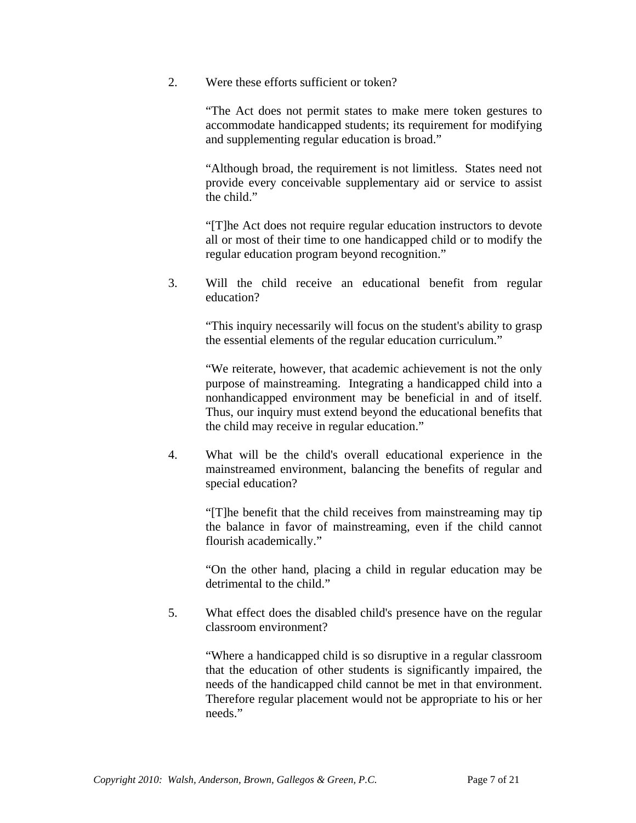2. Were these efforts sufficient or token?

"The Act does not permit states to make mere token gestures to accommodate handicapped students; its requirement for modifying and supplementing regular education is broad."

"Although broad, the requirement is not limitless. States need not provide every conceivable supplementary aid or service to assist the child."

"[T]he Act does not require regular education instructors to devote all or most of their time to one handicapped child or to modify the regular education program beyond recognition."

3. Will the child receive an educational benefit from regular education?

"This inquiry necessarily will focus on the student's ability to grasp the essential elements of the regular education curriculum."

"We reiterate, however, that academic achievement is not the only purpose of mainstreaming. Integrating a handicapped child into a nonhandicapped environment may be beneficial in and of itself. Thus, our inquiry must extend beyond the educational benefits that the child may receive in regular education."

4. What will be the child's overall educational experience in the mainstreamed environment, balancing the benefits of regular and special education?

> "[T]he benefit that the child receives from mainstreaming may tip the balance in favor of mainstreaming, even if the child cannot flourish academically."

> "On the other hand, placing a child in regular education may be detrimental to the child."

5. What effect does the disabled child's presence have on the regular classroom environment?

> "Where a handicapped child is so disruptive in a regular classroom that the education of other students is significantly impaired, the needs of the handicapped child cannot be met in that environment. Therefore regular placement would not be appropriate to his or her needs."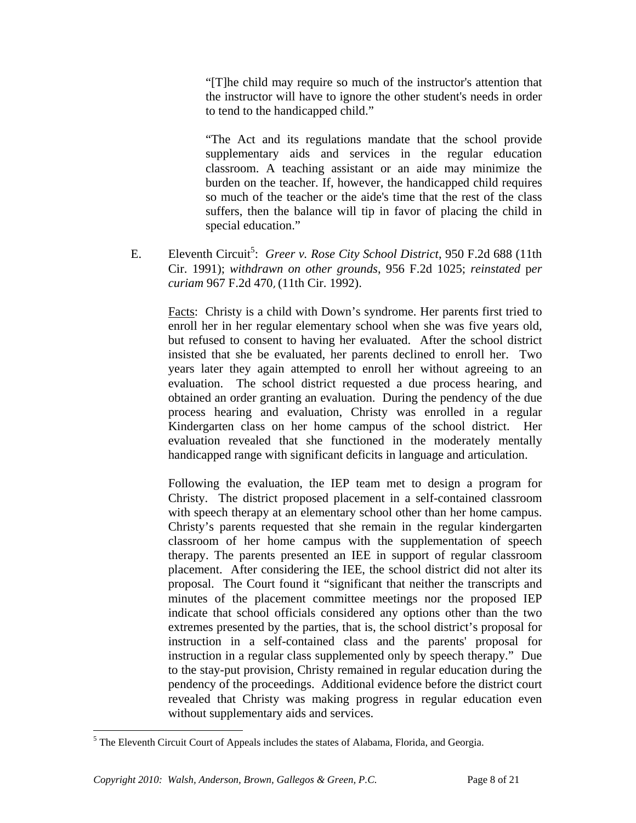"[T]he child may require so much of the instructor's attention that the instructor will have to ignore the other student's needs in order to tend to the handicapped child."

"The Act and its regulations mandate that the school provide supplementary aids and services in the regular education classroom. A teaching assistant or an aide may minimize the burden on the teacher. If, however, the handicapped child requires so much of the teacher or the aide's time that the rest of the class suffers, then the balance will tip in favor of placing the child in special education."

E. Eleventh Circuit<sup>5</sup>: Greer v. Rose City School District, 950 F.2d 688 (11th Cir. 1991); *withdrawn on other grounds*, 956 F.2d 1025; *reinstated* p*er curiam* 967 F.2d 470, (11th Cir. 1992).

Facts: Christy is a child with Down's syndrome. Her parents first tried to enroll her in her regular elementary school when she was five years old, but refused to consent to having her evaluated. After the school district insisted that she be evaluated, her parents declined to enroll her. Two years later they again attempted to enroll her without agreeing to an evaluation. The school district requested a due process hearing, and obtained an order granting an evaluation. During the pendency of the due process hearing and evaluation, Christy was enrolled in a regular Kindergarten class on her home campus of the school district. Her evaluation revealed that she functioned in the moderately mentally handicapped range with significant deficits in language and articulation.

Following the evaluation, the IEP team met to design a program for Christy. The district proposed placement in a self-contained classroom with speech therapy at an elementary school other than her home campus. Christy's parents requested that she remain in the regular kindergarten classroom of her home campus with the supplementation of speech therapy. The parents presented an IEE in support of regular classroom placement. After considering the IEE, the school district did not alter its proposal. The Court found it "significant that neither the transcripts and minutes of the placement committee meetings nor the proposed IEP indicate that school officials considered any options other than the two extremes presented by the parties, that is, the school district's proposal for instruction in a self-contained class and the parents' proposal for instruction in a regular class supplemented only by speech therapy." Due to the stay-put provision, Christy remained in regular education during the pendency of the proceedings. Additional evidence before the district court revealed that Christy was making progress in regular education even without supplementary aids and services.

 $<sup>5</sup>$  The Eleventh Circuit Court of Appeals includes the states of Alabama, Florida, and Georgia.</sup>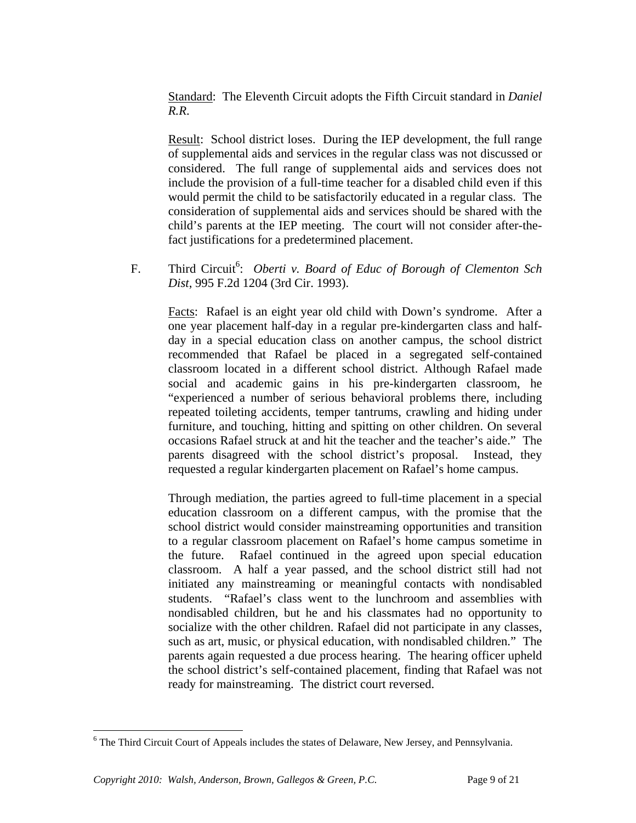Standard: The Eleventh Circuit adopts the Fifth Circuit standard in *Daniel R.R*.

Result: School district loses. During the IEP development, the full range of supplemental aids and services in the regular class was not discussed or considered. The full range of supplemental aids and services does not include the provision of a full-time teacher for a disabled child even if this would permit the child to be satisfactorily educated in a regular class. The consideration of supplemental aids and services should be shared with the child's parents at the IEP meeting. The court will not consider after-thefact justifications for a predetermined placement.

F. Third Circuit<sup>6</sup>: *Oberti v. Board of Educ of Borough of Clementon Sch Dist*, 995 F.2d 1204 (3rd Cir. 1993).

Facts:Rafael is an eight year old child with Down's syndrome. After a one year placement half-day in a regular pre-kindergarten class and halfday in a special education class on another campus, the school district recommended that Rafael be placed in a segregated self-contained classroom located in a different school district. Although Rafael made social and academic gains in his pre-kindergarten classroom, he "experienced a number of serious behavioral problems there, including repeated toileting accidents, temper tantrums, crawling and hiding under furniture, and touching, hitting and spitting on other children. On several occasions Rafael struck at and hit the teacher and the teacher's aide." The parents disagreed with the school district's proposal. Instead, they requested a regular kindergarten placement on Rafael's home campus.

Through mediation, the parties agreed to full-time placement in a special education classroom on a different campus, with the promise that the school district would consider mainstreaming opportunities and transition to a regular classroom placement on Rafael's home campus sometime in the future. Rafael continued in the agreed upon special education classroom. A half a year passed, and the school district still had not initiated any mainstreaming or meaningful contacts with nondisabled students. "Rafael's class went to the lunchroom and assemblies with nondisabled children, but he and his classmates had no opportunity to socialize with the other children. Rafael did not participate in any classes, such as art, music, or physical education, with nondisabled children." The parents again requested a due process hearing. The hearing officer upheld the school district's self-contained placement, finding that Rafael was not ready for mainstreaming. The district court reversed.

<sup>&</sup>lt;sup>6</sup> The Third Circuit Court of Appeals includes the states of Delaware, New Jersey, and Pennsylvania.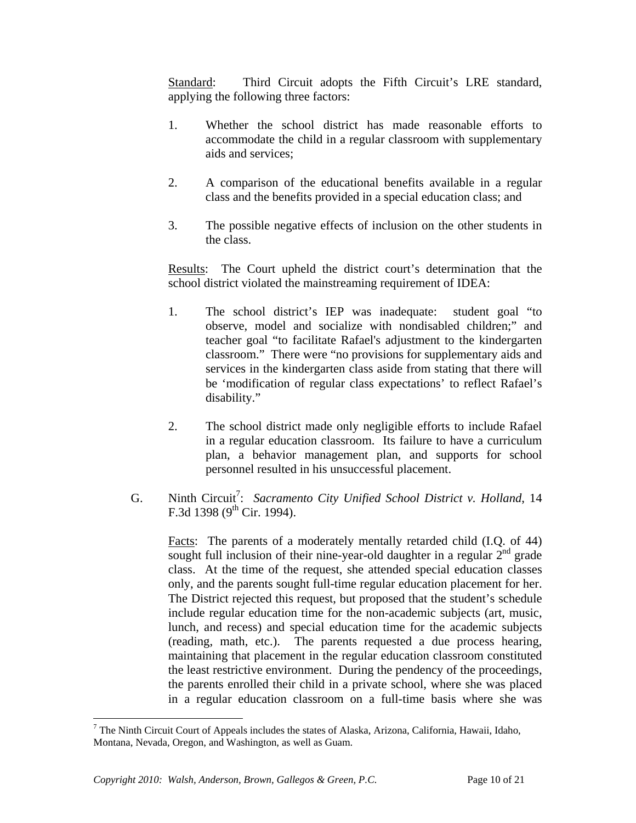Standard:Third Circuit adopts the Fifth Circuit's LRE standard, applying the following three factors:

- 1. Whether the school district has made reasonable efforts to accommodate the child in a regular classroom with supplementary aids and services;
- 2. A comparison of the educational benefits available in a regular class and the benefits provided in a special education class; and
- 3. The possible negative effects of inclusion on the other students in the class.

Results: The Court upheld the district court's determination that the school district violated the mainstreaming requirement of IDEA:

- 1. The school district's IEP was inadequate: student goal "to observe, model and socialize with nondisabled children;" and teacher goal "to facilitate Rafael's adjustment to the kindergarten classroom." There were "no provisions for supplementary aids and services in the kindergarten class aside from stating that there will be 'modification of regular class expectations' to reflect Rafael's disability."
- 2. The school district made only negligible efforts to include Rafael in a regular education classroom. Its failure to have a curriculum plan, a behavior management plan, and supports for school personnel resulted in his unsuccessful placement.
- G. Ninth Circuit<sup>7</sup>: Sacramento City Unified School District v. Holland, 14 F.3d 1398 ( $9^{th}$  Cir. 1994).

Facts:The parents of a moderately mentally retarded child (I.Q. of 44) sought full inclusion of their nine-year-old daughter in a regular  $2<sup>nd</sup>$  grade class. At the time of the request, she attended special education classes only, and the parents sought full-time regular education placement for her. The District rejected this request, but proposed that the student's schedule include regular education time for the non-academic subjects (art, music, lunch, and recess) and special education time for the academic subjects (reading, math, etc.). The parents requested a due process hearing, maintaining that placement in the regular education classroom constituted the least restrictive environment. During the pendency of the proceedings, the parents enrolled their child in a private school, where she was placed in a regular education classroom on a full-time basis where she was

1

<sup>&</sup>lt;sup>7</sup> The Ninth Circuit Court of Appeals includes the states of Alaska, Arizona, California, Hawaii, Idaho, Montana, Nevada, Oregon, and Washington, as well as Guam.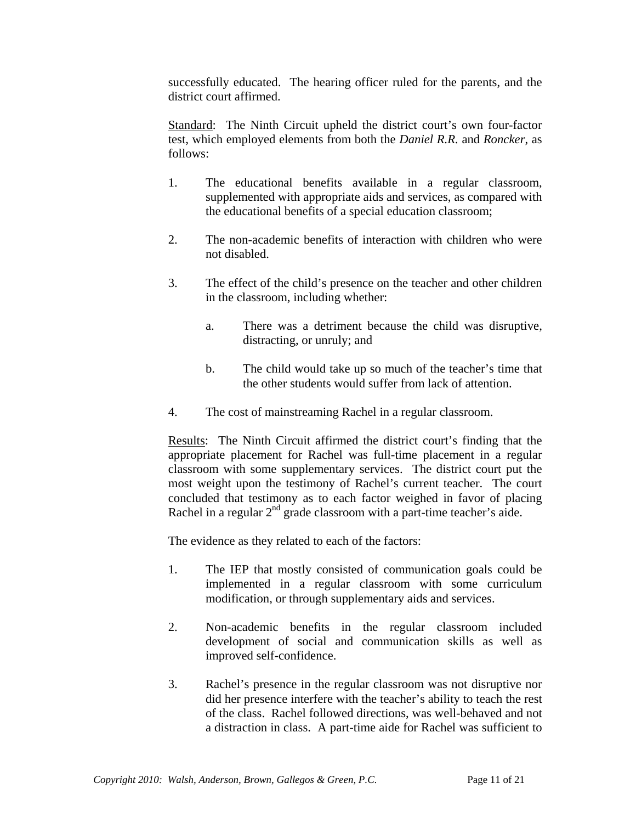successfully educated. The hearing officer ruled for the parents, and the district court affirmed.

Standard: The Ninth Circuit upheld the district court's own four-factor test, which employed elements from both the *Daniel R.R.* and *Roncker*, as follows:

- 1. The educational benefits available in a regular classroom, supplemented with appropriate aids and services, as compared with the educational benefits of a special education classroom;
- 2. The non-academic benefits of interaction with children who were not disabled.
- 3. The effect of the child's presence on the teacher and other children in the classroom, including whether:
	- a. There was a detriment because the child was disruptive, distracting, or unruly; and
	- b. The child would take up so much of the teacher's time that the other students would suffer from lack of attention.
- 4. The cost of mainstreaming Rachel in a regular classroom.

Results: The Ninth Circuit affirmed the district court's finding that the appropriate placement for Rachel was full-time placement in a regular classroom with some supplementary services. The district court put the most weight upon the testimony of Rachel's current teacher. The court concluded that testimony as to each factor weighed in favor of placing Rachel in a regular  $2<sup>nd</sup>$  grade classroom with a part-time teacher's aide.

The evidence as they related to each of the factors:

- 1. The IEP that mostly consisted of communication goals could be implemented in a regular classroom with some curriculum modification, or through supplementary aids and services.
- 2. Non-academic benefits in the regular classroom included development of social and communication skills as well as improved self-confidence.
- 3. Rachel's presence in the regular classroom was not disruptive nor did her presence interfere with the teacher's ability to teach the rest of the class. Rachel followed directions, was well-behaved and not a distraction in class. A part-time aide for Rachel was sufficient to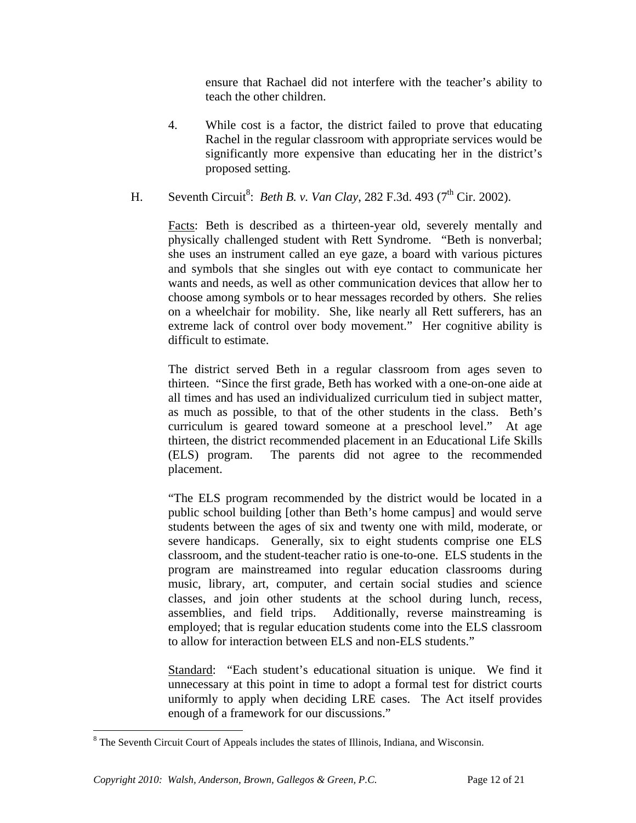ensure that Rachael did not interfere with the teacher's ability to teach the other children.

- 4. While cost is a factor, the district failed to prove that educating Rachel in the regular classroom with appropriate services would be significantly more expensive than educating her in the district's proposed setting.
- H. Seventh Circuit<sup>8</sup>: *Beth B. v. Van Clay*, 282 F.3d. 493 (7<sup>th</sup> Cir. 2002).

Facts: Beth is described as a thirteen-year old, severely mentally and physically challenged student with Rett Syndrome. "Beth is nonverbal; she uses an instrument called an eye gaze, a board with various pictures and symbols that she singles out with eye contact to communicate her wants and needs, as well as other communication devices that allow her to choose among symbols or to hear messages recorded by others. She relies on a wheelchair for mobility. She, like nearly all Rett sufferers, has an extreme lack of control over body movement." Her cognitive ability is difficult to estimate.

The district served Beth in a regular classroom from ages seven to thirteen. "Since the first grade, Beth has worked with a one-on-one aide at all times and has used an individualized curriculum tied in subject matter, as much as possible, to that of the other students in the class. Beth's curriculum is geared toward someone at a preschool level." At age thirteen, the district recommended placement in an Educational Life Skills (ELS) program. The parents did not agree to the recommended placement.

"The ELS program recommended by the district would be located in a public school building [other than Beth's home campus] and would serve students between the ages of six and twenty one with mild, moderate, or severe handicaps. Generally, six to eight students comprise one ELS classroom, and the student-teacher ratio is one-to-one. ELS students in the program are mainstreamed into regular education classrooms during music, library, art, computer, and certain social studies and science classes, and join other students at the school during lunch, recess, assemblies, and field trips. Additionally, reverse mainstreaming is employed; that is regular education students come into the ELS classroom to allow for interaction between ELS and non-ELS students."

Standard: "Each student's educational situation is unique. We find it unnecessary at this point in time to adopt a formal test for district courts uniformly to apply when deciding LRE cases. The Act itself provides enough of a framework for our discussions."

<sup>&</sup>lt;sup>8</sup> The Seventh Circuit Court of Appeals includes the states of Illinois, Indiana, and Wisconsin.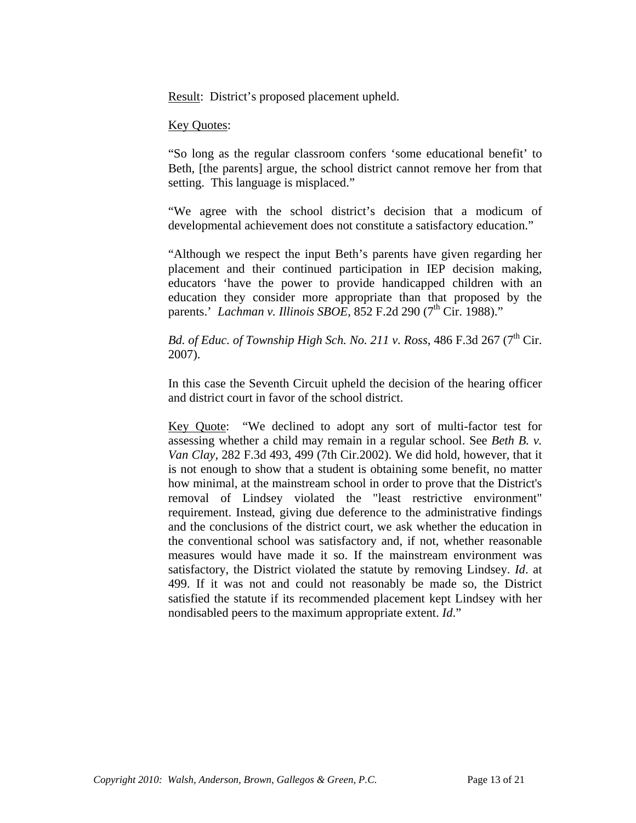Result: District's proposed placement upheld.

#### Key Quotes:

"So long as the regular classroom confers 'some educational benefit' to Beth, [the parents] argue, the school district cannot remove her from that setting. This language is misplaced."

"We agree with the school district's decision that a modicum of developmental achievement does not constitute a satisfactory education."

"Although we respect the input Beth's parents have given regarding her placement and their continued participation in IEP decision making, educators 'have the power to provide handicapped children with an education they consider more appropriate than that proposed by the parents.' *Lachman v. Illinois SBOE*, 852 F.2d 290 (7<sup>th</sup> Cir. 1988)."

### *Bd. of Educ. of Township High Sch. No. 211 v. Ross, 486 F.3d 267 (7<sup>th</sup> Cir.* 2007).

In this case the Seventh Circuit upheld the decision of the hearing officer and district court in favor of the school district.

Key Quote: "We declined to adopt any sort of multi-factor test for assessing whether a child may remain in a regular school. See *Beth B. v. Van Clay*, 282 F.3d 493, 499 (7th Cir.2002). We did hold, however, that it is not enough to show that a student is obtaining some benefit, no matter how minimal, at the mainstream school in order to prove that the District's removal of Lindsey violated the "least restrictive environment" requirement. Instead, giving due deference to the administrative findings and the conclusions of the district court, we ask whether the education in the conventional school was satisfactory and, if not, whether reasonable measures would have made it so. If the mainstream environment was satisfactory, the District violated the statute by removing Lindsey. *Id*. at 499. If it was not and could not reasonably be made so, the District satisfied the statute if its recommended placement kept Lindsey with her nondisabled peers to the maximum appropriate extent. *Id*."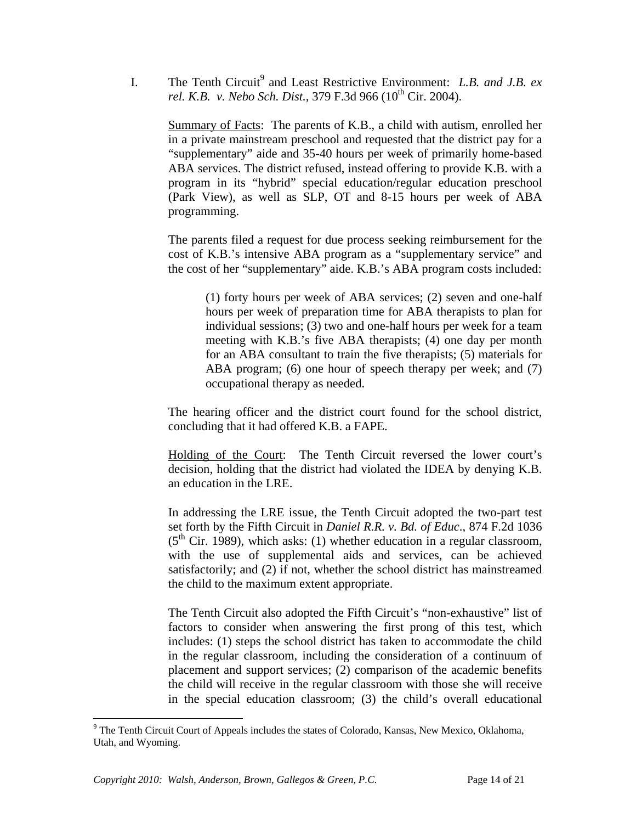I. The Tenth Circuit<sup>9</sup> and Least Restrictive Environment: *L.B. and J.B. ex rel. K.B. v. Nebo Sch. Dist.,* 379 F.3d 966 (10<sup>th</sup> Cir. 2004).

Summary of Facts: The parents of K.B., a child with autism, enrolled her in a private mainstream preschool and requested that the district pay for a "supplementary" aide and 35-40 hours per week of primarily home-based ABA services. The district refused, instead offering to provide K.B. with a program in its "hybrid" special education/regular education preschool (Park View), as well as SLP, OT and 8-15 hours per week of ABA programming.

The parents filed a request for due process seeking reimbursement for the cost of K.B.'s intensive ABA program as a "supplementary service" and the cost of her "supplementary" aide. K.B.'s ABA program costs included:

(1) forty hours per week of ABA services; (2) seven and one-half hours per week of preparation time for ABA therapists to plan for individual sessions; (3) two and one-half hours per week for a team meeting with K.B.'s five ABA therapists; (4) one day per month for an ABA consultant to train the five therapists; (5) materials for ABA program; (6) one hour of speech therapy per week; and (7) occupational therapy as needed.

The hearing officer and the district court found for the school district, concluding that it had offered K.B. a FAPE.

Holding of the Court: The Tenth Circuit reversed the lower court's decision, holding that the district had violated the IDEA by denying K.B. an education in the LRE.

In addressing the LRE issue, the Tenth Circuit adopted the two-part test set forth by the Fifth Circuit in *Daniel R.R. v. Bd. of Educ*., 874 F.2d 1036  $(5<sup>th</sup>$  Cir. 1989), which asks: (1) whether education in a regular classroom, with the use of supplemental aids and services, can be achieved satisfactorily; and (2) if not, whether the school district has mainstreamed the child to the maximum extent appropriate.

The Tenth Circuit also adopted the Fifth Circuit's "non-exhaustive" list of factors to consider when answering the first prong of this test, which includes: (1) steps the school district has taken to accommodate the child in the regular classroom, including the consideration of a continuum of placement and support services; (2) comparison of the academic benefits the child will receive in the regular classroom with those she will receive in the special education classroom; (3) the child's overall educational

<sup>&</sup>lt;sup>9</sup> The Tenth Circuit Court of Appeals includes the states of Colorado, Kansas, New Mexico, Oklahoma, Utah, and Wyoming.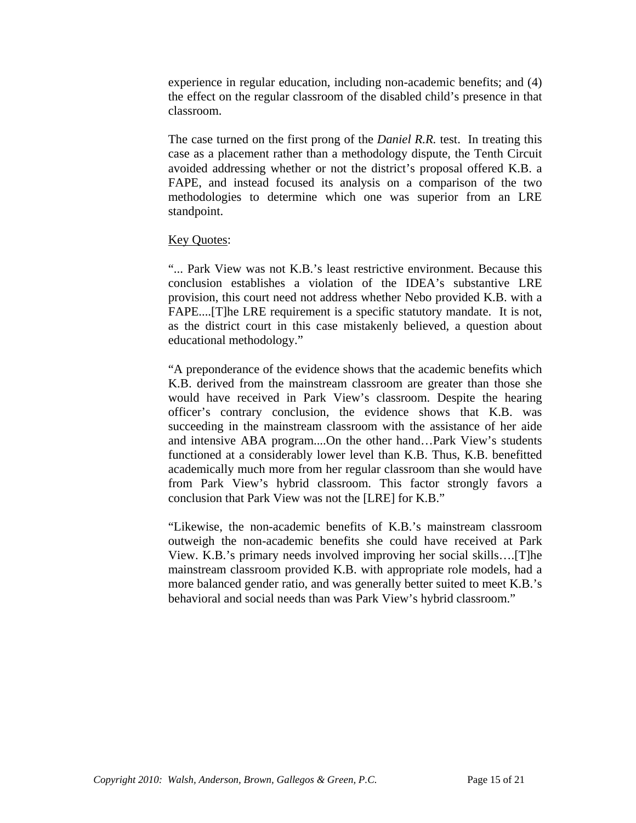experience in regular education, including non-academic benefits; and (4) the effect on the regular classroom of the disabled child's presence in that classroom.

The case turned on the first prong of the *Daniel R.R.* test. In treating this case as a placement rather than a methodology dispute, the Tenth Circuit avoided addressing whether or not the district's proposal offered K.B. a FAPE, and instead focused its analysis on a comparison of the two methodologies to determine which one was superior from an LRE standpoint.

#### Key Quotes:

"... Park View was not K.B.'s least restrictive environment. Because this conclusion establishes a violation of the IDEA's substantive LRE provision, this court need not address whether Nebo provided K.B. with a FAPE....[T]he LRE requirement is a specific statutory mandate. It is not, as the district court in this case mistakenly believed, a question about educational methodology."

"A preponderance of the evidence shows that the academic benefits which K.B. derived from the mainstream classroom are greater than those she would have received in Park View's classroom. Despite the hearing officer's contrary conclusion, the evidence shows that K.B. was succeeding in the mainstream classroom with the assistance of her aide and intensive ABA program....On the other hand…Park View's students functioned at a considerably lower level than K.B. Thus, K.B. benefitted academically much more from her regular classroom than she would have from Park View's hybrid classroom. This factor strongly favors a conclusion that Park View was not the [LRE] for K.B."

"Likewise, the non-academic benefits of K.B.'s mainstream classroom outweigh the non-academic benefits she could have received at Park View. K.B.'s primary needs involved improving her social skills….[T]he mainstream classroom provided K.B. with appropriate role models, had a more balanced gender ratio, and was generally better suited to meet K.B.'s behavioral and social needs than was Park View's hybrid classroom."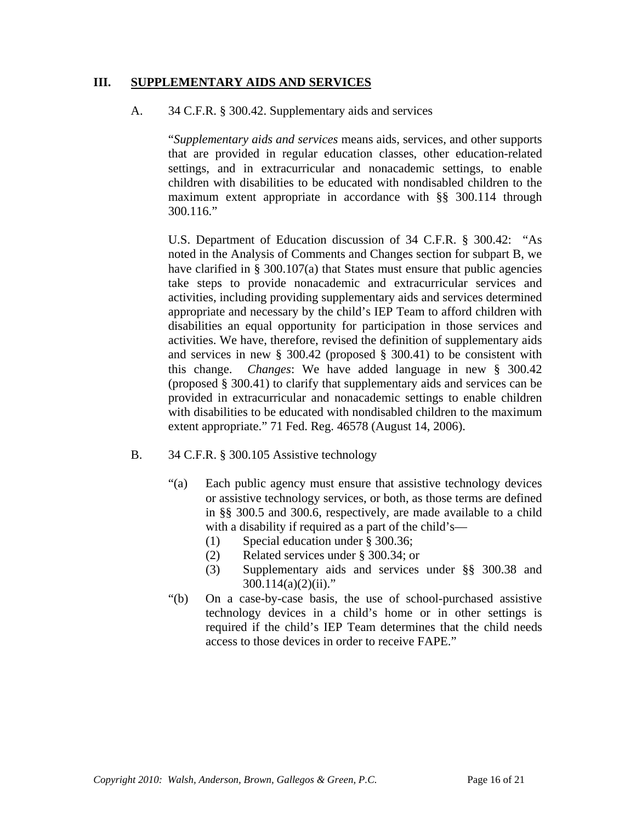#### **III. SUPPLEMENTARY AIDS AND SERVICES**

#### A. 34 C.F.R. § 300.42. Supplementary aids and services

"*Supplementary aids and services* means aids, services, and other supports that are provided in regular education classes, other education-related settings, and in extracurricular and nonacademic settings, to enable children with disabilities to be educated with nondisabled children to the maximum extent appropriate in accordance with §§ 300.114 through 300.116."

U.S. Department of Education discussion of 34 C.F.R. § 300.42: "As noted in the Analysis of Comments and Changes section for subpart B, we have clarified in  $\S$  300.107(a) that States must ensure that public agencies take steps to provide nonacademic and extracurricular services and activities, including providing supplementary aids and services determined appropriate and necessary by the child's IEP Team to afford children with disabilities an equal opportunity for participation in those services and activities. We have, therefore, revised the definition of supplementary aids and services in new § 300.42 (proposed § 300.41) to be consistent with this change. *Changes*: We have added language in new § 300.42 (proposed § 300.41) to clarify that supplementary aids and services can be provided in extracurricular and nonacademic settings to enable children with disabilities to be educated with nondisabled children to the maximum extent appropriate." 71 Fed. Reg. 46578 (August 14, 2006).

- B. 34 C.F.R. § 300.105 Assistive technology
	- "(a) Each public agency must ensure that assistive technology devices or assistive technology services, or both, as those terms are defined in §§ 300.5 and 300.6, respectively, are made available to a child with a disability if required as a part of the child's—
		- (1) Special education under § 300.36;
		- (2) Related services under § 300.34; or
		- (3) Supplementary aids and services under §§ 300.38 and  $300.114(a)(2)(ii)$ ."
	- "(b) On a case-by-case basis, the use of school-purchased assistive technology devices in a child's home or in other settings is required if the child's IEP Team determines that the child needs access to those devices in order to receive FAPE."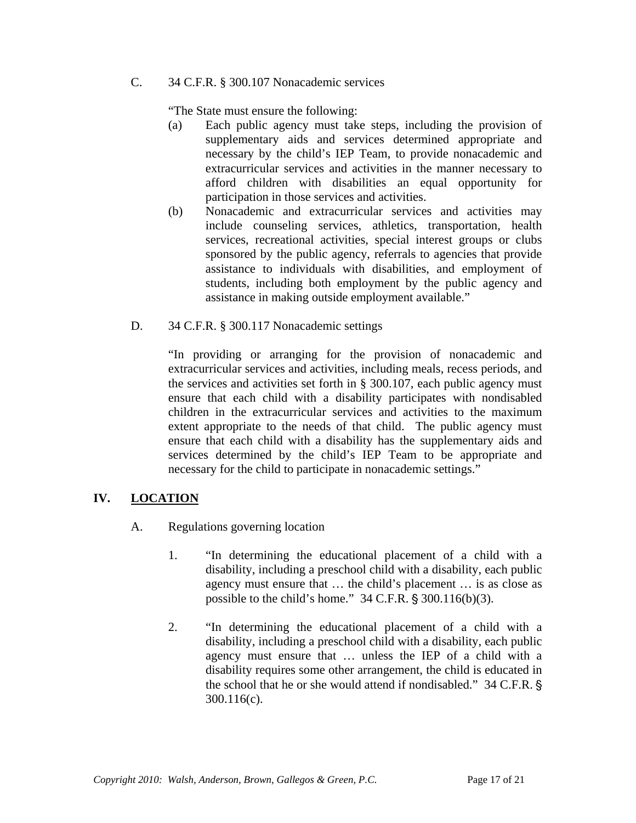C. 34 C.F.R. § 300.107 Nonacademic services

"The State must ensure the following:

- (a) Each public agency must take steps, including the provision of supplementary aids and services determined appropriate and necessary by the child's IEP Team, to provide nonacademic and extracurricular services and activities in the manner necessary to afford children with disabilities an equal opportunity for participation in those services and activities.
- (b) Nonacademic and extracurricular services and activities may include counseling services, athletics, transportation, health services, recreational activities, special interest groups or clubs sponsored by the public agency, referrals to agencies that provide assistance to individuals with disabilities, and employment of students, including both employment by the public agency and assistance in making outside employment available."
- D. 34 C.F.R. § 300.117 Nonacademic settings

"In providing or arranging for the provision of nonacademic and extracurricular services and activities, including meals, recess periods, and the services and activities set forth in § 300.107, each public agency must ensure that each child with a disability participates with nondisabled children in the extracurricular services and activities to the maximum extent appropriate to the needs of that child. The public agency must ensure that each child with a disability has the supplementary aids and services determined by the child's IEP Team to be appropriate and necessary for the child to participate in nonacademic settings."

# **IV. LOCATION**

- A. Regulations governing location
	- 1. "In determining the educational placement of a child with a disability, including a preschool child with a disability, each public agency must ensure that … the child's placement … is as close as possible to the child's home."  $34$  C.F.R.  $\S 300.116(b)(3)$ .
	- 2. "In determining the educational placement of a child with a disability, including a preschool child with a disability, each public agency must ensure that … unless the IEP of a child with a disability requires some other arrangement, the child is educated in the school that he or she would attend if nondisabled." 34 C.F.R. ' 300.116(c).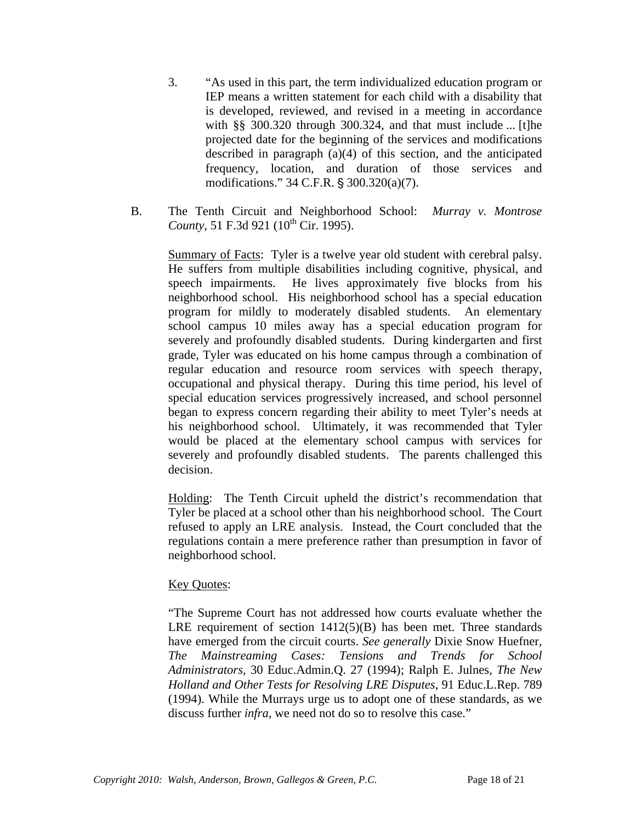- 3. "As used in this part, the term individualized education program or IEP means a written statement for each child with a disability that is developed, reviewed, and revised in a meeting in accordance with §§ 300.320 through 300.324, and that must include ... [t]he projected date for the beginning of the services and modifications described in paragraph (a)(4) of this section, and the anticipated frequency, location, and duration of those services and modifications."  $34$  C.F.R. §  $300.320(a)(7)$ .
- B. The Tenth Circuit and Neighborhood School: *Murray v. Montrose County*, 51 F.3d 921 (10<sup>th</sup> Cir. 1995).

Summary of Facts: Tyler is a twelve year old student with cerebral palsy. He suffers from multiple disabilities including cognitive, physical, and speech impairments. He lives approximately five blocks from his neighborhood school. His neighborhood school has a special education program for mildly to moderately disabled students. An elementary school campus 10 miles away has a special education program for severely and profoundly disabled students. During kindergarten and first grade, Tyler was educated on his home campus through a combination of regular education and resource room services with speech therapy, occupational and physical therapy. During this time period, his level of special education services progressively increased, and school personnel began to express concern regarding their ability to meet Tyler's needs at his neighborhood school. Ultimately, it was recommended that Tyler would be placed at the elementary school campus with services for severely and profoundly disabled students. The parents challenged this decision.

Holding: The Tenth Circuit upheld the district's recommendation that Tyler be placed at a school other than his neighborhood school. The Court refused to apply an LRE analysis. Instead, the Court concluded that the regulations contain a mere preference rather than presumption in favor of neighborhood school.

#### Key Quotes:

"The Supreme Court has not addressed how courts evaluate whether the LRE requirement of section  $1412(5)(B)$  has been met. Three standards have emerged from the circuit courts. *See generally* Dixie Snow Huefner, *The Mainstreaming Cases: Tensions and Trends for School Administrators,* 30 Educ.Admin.Q. 27 (1994); Ralph E. Julnes, *The New Holland and Other Tests for Resolving LRE Disputes,* 91 Educ.L.Rep. 789 (1994). While the Murrays urge us to adopt one of these standards, as we discuss further *infra,* we need not do so to resolve this case."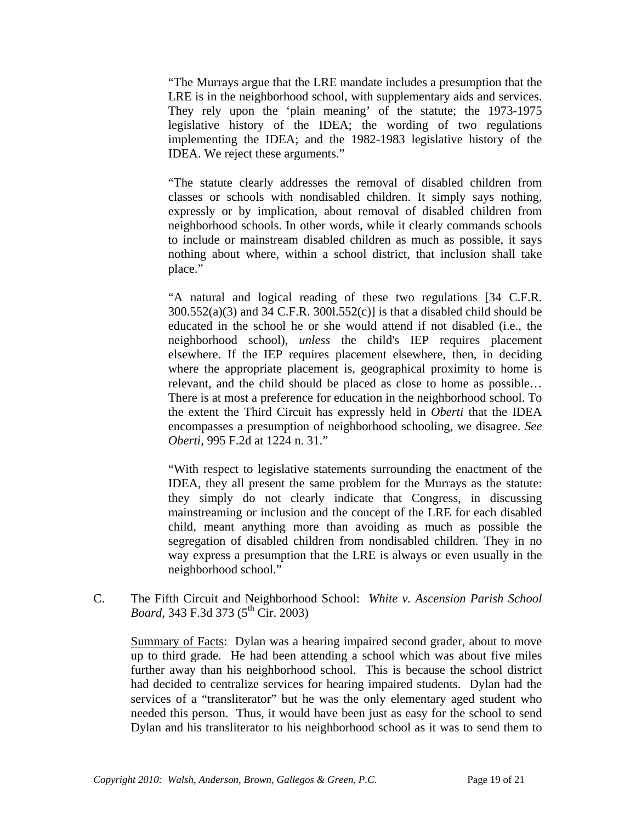"The Murrays argue that the LRE mandate includes a presumption that the LRE is in the neighborhood school, with supplementary aids and services. They rely upon the 'plain meaning' of the statute; the 1973-1975 legislative history of the IDEA; the wording of two regulations implementing the IDEA; and the 1982-1983 legislative history of the IDEA. We reject these arguments."

"The statute clearly addresses the removal of disabled children from classes or schools with nondisabled children. It simply says nothing, expressly or by implication, about removal of disabled children from neighborhood schools. In other words, while it clearly commands schools to include or mainstream disabled children as much as possible, it says nothing about where, within a school district, that inclusion shall take place."

"A natural and logical reading of these two regulations [34 C.F.R.  $300.552(a)(3)$  and 34 C.F.R.  $3001.552(c)$  is that a disabled child should be educated in the school he or she would attend if not disabled (i.e., the neighborhood school), *unless* the child's IEP requires placement elsewhere. If the IEP requires placement elsewhere, then, in deciding where the appropriate placement is, geographical proximity to home is relevant, and the child should be placed as close to home as possible… There is at most a preference for education in the neighborhood school. To the extent the Third Circuit has expressly held in *Oberti* that the IDEA encompasses a presumption of neighborhood schooling, we disagree. *See Oberti,* 995 F.2d at 1224 n. 31."

"With respect to legislative statements surrounding the enactment of the IDEA, they all present the same problem for the Murrays as the statute: they simply do not clearly indicate that Congress, in discussing mainstreaming or inclusion and the concept of the LRE for each disabled child, meant anything more than avoiding as much as possible the segregation of disabled children from nondisabled children. They in no way express a presumption that the LRE is always or even usually in the neighborhood school."

C. The Fifth Circuit and Neighborhood School: *White v. Ascension Parish School Board*, 343 F.3d 373 (5<sup>th</sup> Cir. 2003)

Summary of Facts: Dylan was a hearing impaired second grader, about to move up to third grade. He had been attending a school which was about five miles further away than his neighborhood school. This is because the school district had decided to centralize services for hearing impaired students. Dylan had the services of a "transliterator" but he was the only elementary aged student who needed this person. Thus, it would have been just as easy for the school to send Dylan and his transliterator to his neighborhood school as it was to send them to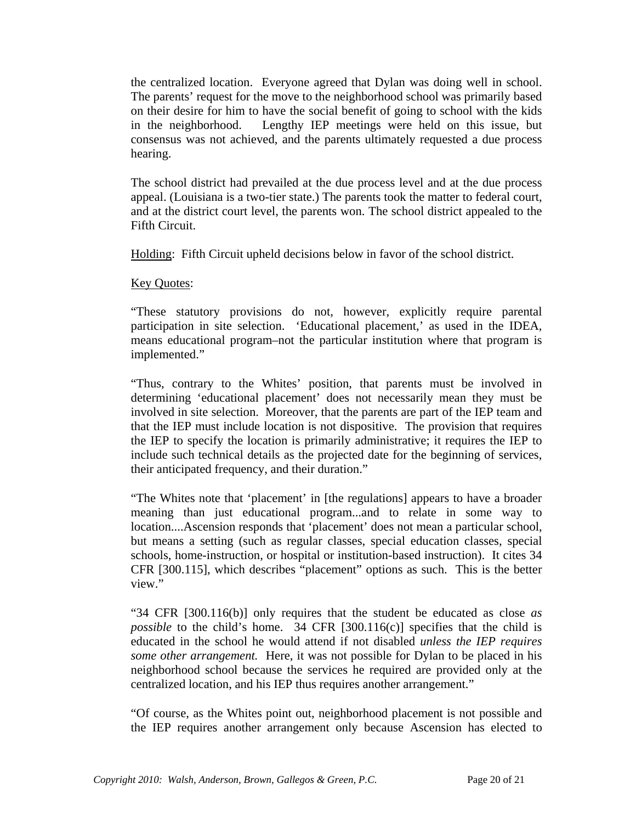the centralized location. Everyone agreed that Dylan was doing well in school. The parents' request for the move to the neighborhood school was primarily based on their desire for him to have the social benefit of going to school with the kids in the neighborhood. Lengthy IEP meetings were held on this issue, but consensus was not achieved, and the parents ultimately requested a due process hearing.

The school district had prevailed at the due process level and at the due process appeal. (Louisiana is a two-tier state.) The parents took the matter to federal court, and at the district court level, the parents won. The school district appealed to the Fifth Circuit.

Holding: Fifth Circuit upheld decisions below in favor of the school district.

#### Key Quotes:

"These statutory provisions do not, however, explicitly require parental participation in site selection. 'Educational placement,' as used in the IDEA*,*  means educational program–not the particular institution where that program is implemented."

"Thus, contrary to the Whites' position, that parents must be involved in determining 'educational placement' does not necessarily mean they must be involved in site selection. Moreover, that the parents are part of the IEP team and that the IEP must include location is not dispositive. The provision that requires the IEP to specify the location is primarily administrative; it requires the IEP to include such technical details as the projected date for the beginning of services, their anticipated frequency, and their duration."

"The Whites note that 'placement' in [the regulations] appears to have a broader meaning than just educational program...and to relate in some way to location....Ascension responds that 'placement' does not mean a particular school, but means a setting (such as regular classes, special education classes, special schools, home-instruction, or hospital or institution-based instruction). It cites 34 CFR [300.115], which describes "placement" options as such. This is the better view."

"34 CFR [300.116(b)] only requires that the student be educated as close *as possible* to the child's home. 34 CFR [300.116(c)] specifies that the child is educated in the school he would attend if not disabled *unless the IEP requires some other arrangement.* Here, it was not possible for Dylan to be placed in his neighborhood school because the services he required are provided only at the centralized location, and his IEP thus requires another arrangement."

"Of course, as the Whites point out, neighborhood placement is not possible and the IEP requires another arrangement only because Ascension has elected to